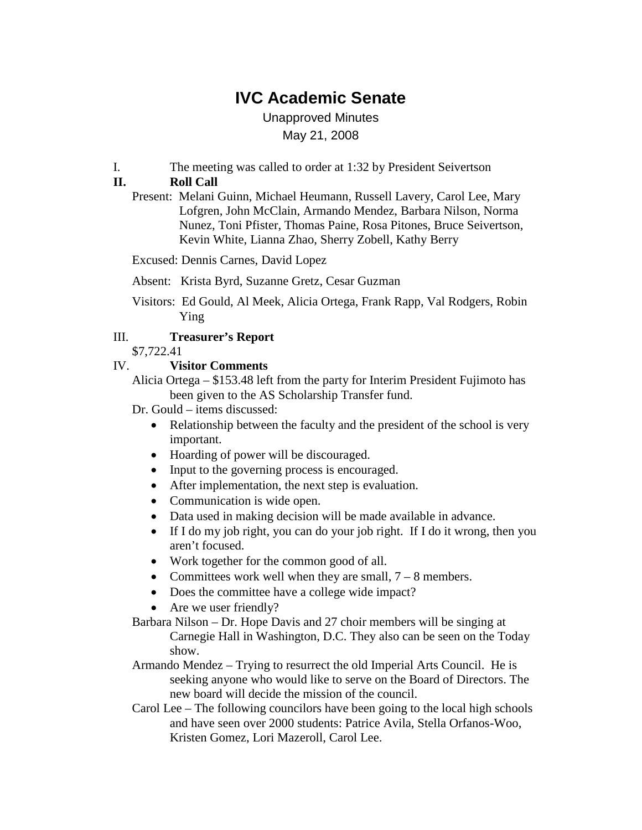# **IVC Academic Senate**

Unapproved Minutes May 21, 2008

I. The meeting was called to order at 1:32 by President Seivertson

## **II. Roll Call**

Present: Melani Guinn, Michael Heumann, Russell Lavery, Carol Lee, Mary Lofgren, John McClain, Armando Mendez, Barbara Nilson, Norma Nunez, Toni Pfister, Thomas Paine, Rosa Pitones, Bruce Seivertson, Kevin White, Lianna Zhao, Sherry Zobell, Kathy Berry

Excused: Dennis Carnes, David Lopez

- Absent: Krista Byrd, Suzanne Gretz, Cesar Guzman
- Visitors: Ed Gould, Al Meek, Alicia Ortega, Frank Rapp, Val Rodgers, Robin Ying

#### III. **Treasurer's Report**

\$7,722.41

#### IV. **Visitor Comments**

Alicia Ortega – \$153.48 left from the party for Interim President Fujimoto has been given to the AS Scholarship Transfer fund.

Dr. Gould – items discussed:

- Relationship between the faculty and the president of the school is very important.
- Hoarding of power will be discouraged.
- Input to the governing process is encouraged.
- After implementation, the next step is evaluation.
- Communication is wide open.
- Data used in making decision will be made available in advance.
- If I do my job right, you can do your job right. If I do it wrong, then you aren't focused.
- Work together for the common good of all.
- Committees work well when they are small,  $7 8$  members.
- Does the committee have a college wide impact?
- Are we user friendly?
- Barbara Nilson Dr. Hope Davis and 27 choir members will be singing at Carnegie Hall in Washington, D.C. They also can be seen on the Today show.
- Armando Mendez Trying to resurrect the old Imperial Arts Council. He is seeking anyone who would like to serve on the Board of Directors. The new board will decide the mission of the council.
- Carol Lee The following councilors have been going to the local high schools and have seen over 2000 students: Patrice Avila, Stella Orfanos-Woo, Kristen Gomez, Lori Mazeroll, Carol Lee.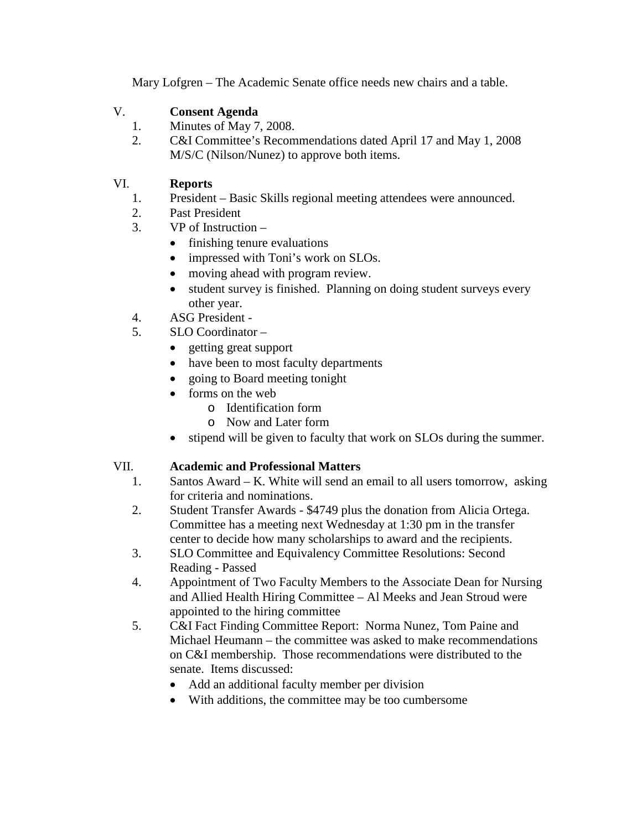Mary Lofgren – The Academic Senate office needs new chairs and a table.

# V. **Consent Agenda**

- 1. Minutes of May 7, 2008.
- 2. C&I Committee's Recommendations dated April 17 and May 1, 2008 M/S/C (Nilson/Nunez) to approve both items.

# VI. **Reports**

- 1. President Basic Skills regional meeting attendees were announced.
- 2. Past President
- 3. VP of Instruction
	- finishing tenure evaluations
	- impressed with Toni's work on SLOs.
	- moving ahead with program review.
	- student survey is finished. Planning on doing student surveys every other year.
- 4. ASG President -
- 5. SLO Coordinator
	- getting great support
	- have been to most faculty departments
		- going to Board meeting tonight
	- forms on the web
		- o Identification form
			- o Now and Later form
	- stipend will be given to faculty that work on SLOs during the summer.

## VII. **Academic and Professional Matters**

- 1. Santos Award K. White will send an email to all users tomorrow, asking for criteria and nominations.
- 2. Student Transfer Awards \$4749 plus the donation from Alicia Ortega. Committee has a meeting next Wednesday at 1:30 pm in the transfer center to decide how many scholarships to award and the recipients.
- 3. SLO Committee and Equivalency Committee Resolutions: Second Reading - Passed
- 4. Appointment of Two Faculty Members to the Associate Dean for Nursing and Allied Health Hiring Committee – Al Meeks and Jean Stroud were appointed to the hiring committee
- 5. C&I Fact Finding Committee Report: Norma Nunez, Tom Paine and Michael Heumann – the committee was asked to make recommendations on C&I membership. Those recommendations were distributed to the senate. Items discussed:
	- Add an additional faculty member per division
	- With additions, the committee may be too cumbersome